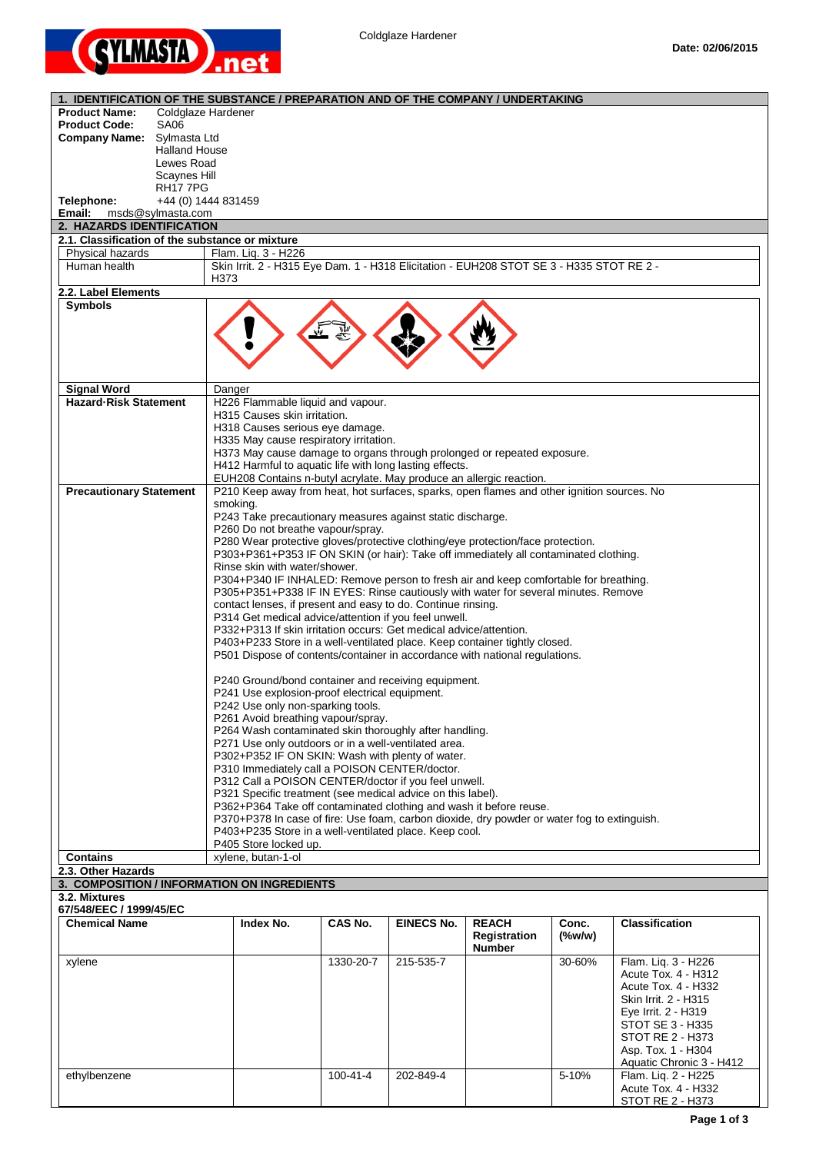

| 1. IDENTIFICATION OF THE SUBSTANCE / PREPARATION AND OF THE COMPANY / UNDERTAKING |                                                                                                                                                                   |           |                   |                               |           |                                        |
|-----------------------------------------------------------------------------------|-------------------------------------------------------------------------------------------------------------------------------------------------------------------|-----------|-------------------|-------------------------------|-----------|----------------------------------------|
| <b>Product Name:</b>                                                              | Coldglaze Hardener                                                                                                                                                |           |                   |                               |           |                                        |
| <b>Product Code:</b><br><b>SA06</b>                                               |                                                                                                                                                                   |           |                   |                               |           |                                        |
| Company Name: Sylmasta Ltd<br><b>Halland House</b>                                |                                                                                                                                                                   |           |                   |                               |           |                                        |
| Lewes Road                                                                        |                                                                                                                                                                   |           |                   |                               |           |                                        |
| Scaynes Hill                                                                      |                                                                                                                                                                   |           |                   |                               |           |                                        |
| <b>RH177PG</b>                                                                    |                                                                                                                                                                   |           |                   |                               |           |                                        |
| Telephone:                                                                        | +44 (0) 1444 831459                                                                                                                                               |           |                   |                               |           |                                        |
| Email:<br>msds@sylmasta.com                                                       |                                                                                                                                                                   |           |                   |                               |           |                                        |
| 2. HAZARDS IDENTIFICATION<br>2.1. Classification of the substance or mixture      |                                                                                                                                                                   |           |                   |                               |           |                                        |
| Physical hazards                                                                  | Flam. Liq. 3 - H226                                                                                                                                               |           |                   |                               |           |                                        |
| Human health                                                                      | Skin Irrit. 2 - H315 Eye Dam. 1 - H318 Elicitation - EUH208 STOT SE 3 - H335 STOT RE 2 -                                                                          |           |                   |                               |           |                                        |
|                                                                                   | H373                                                                                                                                                              |           |                   |                               |           |                                        |
| 2.2. Label Elements                                                               |                                                                                                                                                                   |           |                   |                               |           |                                        |
| <b>Symbols</b>                                                                    |                                                                                                                                                                   |           |                   |                               |           |                                        |
|                                                                                   |                                                                                                                                                                   |           |                   |                               |           |                                        |
|                                                                                   |                                                                                                                                                                   |           |                   |                               |           |                                        |
|                                                                                   |                                                                                                                                                                   |           |                   |                               |           |                                        |
|                                                                                   |                                                                                                                                                                   |           |                   |                               |           |                                        |
|                                                                                   |                                                                                                                                                                   |           |                   |                               |           |                                        |
| <b>Signal Word</b>                                                                | Danger                                                                                                                                                            |           |                   |                               |           |                                        |
| <b>Hazard-Risk Statement</b>                                                      | H226 Flammable liquid and vapour.<br>H315 Causes skin irritation.                                                                                                 |           |                   |                               |           |                                        |
|                                                                                   | H318 Causes serious eye damage.                                                                                                                                   |           |                   |                               |           |                                        |
|                                                                                   | H335 May cause respiratory irritation.                                                                                                                            |           |                   |                               |           |                                        |
|                                                                                   | H373 May cause damage to organs through prolonged or repeated exposure.                                                                                           |           |                   |                               |           |                                        |
|                                                                                   | H412 Harmful to aquatic life with long lasting effects.                                                                                                           |           |                   |                               |           |                                        |
|                                                                                   | EUH208 Contains n-butyl acrylate. May produce an allergic reaction.<br>P210 Keep away from heat, hot surfaces, sparks, open flames and other ignition sources. No |           |                   |                               |           |                                        |
| <b>Precautionary Statement</b>                                                    | smoking.                                                                                                                                                          |           |                   |                               |           |                                        |
|                                                                                   | P243 Take precautionary measures against static discharge.                                                                                                        |           |                   |                               |           |                                        |
|                                                                                   | P260 Do not breathe vapour/spray.                                                                                                                                 |           |                   |                               |           |                                        |
|                                                                                   | P280 Wear protective gloves/protective clothing/eye protection/face protection.                                                                                   |           |                   |                               |           |                                        |
|                                                                                   | P303+P361+P353 IF ON SKIN (or hair): Take off immediately all contaminated clothing.                                                                              |           |                   |                               |           |                                        |
|                                                                                   | Rinse skin with water/shower.<br>P304+P340 IF INHALED: Remove person to fresh air and keep comfortable for breathing.                                             |           |                   |                               |           |                                        |
|                                                                                   | P305+P351+P338 IF IN EYES: Rinse cautiously with water for several minutes. Remove                                                                                |           |                   |                               |           |                                        |
|                                                                                   | contact lenses, if present and easy to do. Continue rinsing.                                                                                                      |           |                   |                               |           |                                        |
|                                                                                   | P314 Get medical advice/attention if you feel unwell.                                                                                                             |           |                   |                               |           |                                        |
|                                                                                   | P332+P313 If skin irritation occurs: Get medical advice/attention.                                                                                                |           |                   |                               |           |                                        |
|                                                                                   | P403+P233 Store in a well-ventilated place. Keep container tightly closed.                                                                                        |           |                   |                               |           |                                        |
|                                                                                   | P501 Dispose of contents/container in accordance with national regulations.                                                                                       |           |                   |                               |           |                                        |
|                                                                                   | P240 Ground/bond container and receiving equipment.                                                                                                               |           |                   |                               |           |                                        |
|                                                                                   | P241 Use explosion-proof electrical equipment.                                                                                                                    |           |                   |                               |           |                                        |
|                                                                                   | P242 Use only non-sparking tools.                                                                                                                                 |           |                   |                               |           |                                        |
|                                                                                   | P261 Avoid breathing vapour/spray.                                                                                                                                |           |                   |                               |           |                                        |
|                                                                                   | P264 Wash contaminated skin thoroughly after handling.                                                                                                            |           |                   |                               |           |                                        |
|                                                                                   | P271 Use only outdoors or in a well-ventilated area.                                                                                                              |           |                   |                               |           |                                        |
|                                                                                   | P302+P352 IF ON SKIN: Wash with plenty of water.                                                                                                                  |           |                   |                               |           |                                        |
|                                                                                   | P310 Immediately call a POISON CENTER/doctor.<br>P312 Call a POISON CENTER/doctor if you feel unwell.                                                             |           |                   |                               |           |                                        |
|                                                                                   | P321 Specific treatment (see medical advice on this label).                                                                                                       |           |                   |                               |           |                                        |
|                                                                                   | P362+P364 Take off contaminated clothing and wash it before reuse.                                                                                                |           |                   |                               |           |                                        |
|                                                                                   | P370+P378 In case of fire: Use foam, carbon dioxide, dry powder or water fog to extinguish.                                                                       |           |                   |                               |           |                                        |
|                                                                                   | P403+P235 Store in a well-ventilated place. Keep cool.                                                                                                            |           |                   |                               |           |                                        |
| <b>Contains</b>                                                                   | P405 Store locked up.<br>xylene, butan-1-ol                                                                                                                       |           |                   |                               |           |                                        |
| 2.3. Other Hazards                                                                |                                                                                                                                                                   |           |                   |                               |           |                                        |
| 3. COMPOSITION / INFORMATION ON INGREDIENTS                                       |                                                                                                                                                                   |           |                   |                               |           |                                        |
| 3.2. Mixtures                                                                     |                                                                                                                                                                   |           |                   |                               |           |                                        |
| 67/548/EEC / 1999/45/EC                                                           |                                                                                                                                                                   |           |                   |                               |           |                                        |
| <b>Chemical Name</b>                                                              | Index No.                                                                                                                                                         | CAS No.   | <b>EINECS No.</b> | <b>REACH</b>                  | Conc.     | <b>Classification</b>                  |
|                                                                                   |                                                                                                                                                                   |           |                   | Registration<br><b>Number</b> | $(\%w/w)$ |                                        |
| xylene                                                                            |                                                                                                                                                                   | 1330-20-7 | 215-535-7         |                               | 30-60%    | Flam. Liq. 3 - H226                    |
|                                                                                   |                                                                                                                                                                   |           |                   |                               |           | Acute Tox. 4 - H312                    |
|                                                                                   |                                                                                                                                                                   |           |                   |                               |           | Acute Tox. 4 - H332                    |
|                                                                                   |                                                                                                                                                                   |           |                   |                               |           | Skin Irrit. 2 - H315                   |
|                                                                                   |                                                                                                                                                                   |           |                   |                               |           | Eye Irrit. 2 - H319                    |
|                                                                                   |                                                                                                                                                                   |           |                   |                               |           | STOT SE 3 - H335                       |
|                                                                                   |                                                                                                                                                                   |           |                   |                               |           | STOT RE 2 - H373<br>Asp. Tox. 1 - H304 |
|                                                                                   |                                                                                                                                                                   |           |                   |                               |           | Aquatic Chronic 3 - H412               |
| ethylbenzene                                                                      |                                                                                                                                                                   | 100-41-4  | 202-849-4         |                               | 5-10%     | Flam. Liq. 2 - H225                    |
|                                                                                   |                                                                                                                                                                   |           |                   |                               |           | Acute Tox. 4 - H332                    |
|                                                                                   |                                                                                                                                                                   |           |                   |                               |           | STOT RE 2 - H373                       |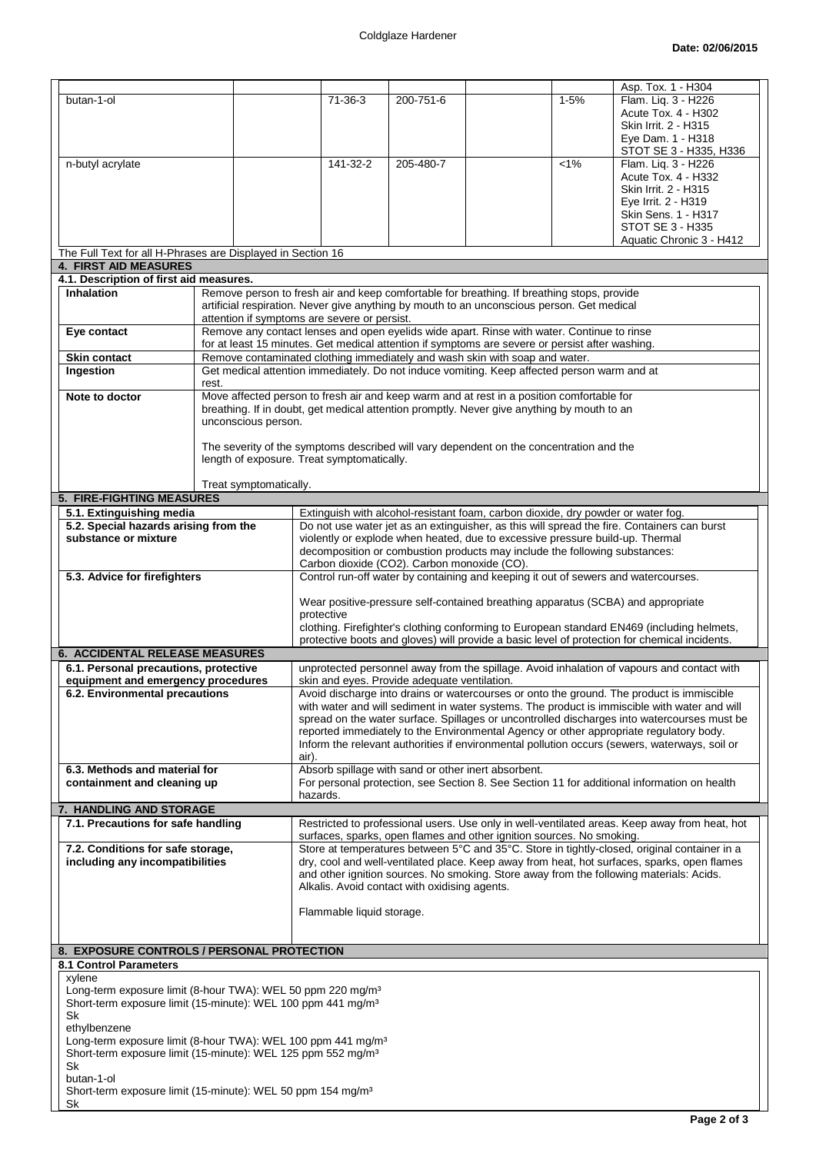|                                                                                                                                                     |                        |                                                                                                                                                                                |           |                                                                                                                                                             |          | Asp. Tox. 1 - H304                                                                                                                                                                      |
|-----------------------------------------------------------------------------------------------------------------------------------------------------|------------------------|--------------------------------------------------------------------------------------------------------------------------------------------------------------------------------|-----------|-------------------------------------------------------------------------------------------------------------------------------------------------------------|----------|-----------------------------------------------------------------------------------------------------------------------------------------------------------------------------------------|
| butan-1-ol                                                                                                                                          |                        | $71 - 36 - 3$                                                                                                                                                                  | 200-751-6 |                                                                                                                                                             | $1 - 5%$ | Flam. Liq. 3 - H226                                                                                                                                                                     |
|                                                                                                                                                     |                        |                                                                                                                                                                                |           |                                                                                                                                                             |          | Acute Tox. 4 - H302                                                                                                                                                                     |
|                                                                                                                                                     |                        |                                                                                                                                                                                |           |                                                                                                                                                             |          | Skin Irrit. 2 - H315                                                                                                                                                                    |
|                                                                                                                                                     |                        |                                                                                                                                                                                |           |                                                                                                                                                             |          | Eye Dam. 1 - H318<br>STOT SE 3 - H335, H336                                                                                                                                             |
| n-butyl acrylate                                                                                                                                    |                        | 141-32-2                                                                                                                                                                       | 205-480-7 |                                                                                                                                                             | $< 1\%$  | Flam. Liq. 3 - H226                                                                                                                                                                     |
|                                                                                                                                                     |                        |                                                                                                                                                                                |           |                                                                                                                                                             |          | Acute Tox. 4 - H332                                                                                                                                                                     |
|                                                                                                                                                     |                        |                                                                                                                                                                                |           |                                                                                                                                                             |          | Skin Irrit. 2 - H315                                                                                                                                                                    |
|                                                                                                                                                     |                        |                                                                                                                                                                                |           |                                                                                                                                                             |          | Eye Irrit. 2 - H319<br>Skin Sens. 1 - H317                                                                                                                                              |
|                                                                                                                                                     |                        |                                                                                                                                                                                |           |                                                                                                                                                             |          | STOT SE 3 - H335                                                                                                                                                                        |
|                                                                                                                                                     |                        |                                                                                                                                                                                |           |                                                                                                                                                             |          | Aquatic Chronic 3 - H412                                                                                                                                                                |
| The Full Text for all H-Phrases are Displayed in Section 16                                                                                         |                        |                                                                                                                                                                                |           |                                                                                                                                                             |          |                                                                                                                                                                                         |
| <b>4. FIRST AID MEASURES</b>                                                                                                                        |                        |                                                                                                                                                                                |           |                                                                                                                                                             |          |                                                                                                                                                                                         |
| 4.1. Description of first aid measures.<br><b>Inhalation</b>                                                                                        |                        | Remove person to fresh air and keep comfortable for breathing. If breathing stops, provide                                                                                     |           |                                                                                                                                                             |          |                                                                                                                                                                                         |
|                                                                                                                                                     |                        | artificial respiration. Never give anything by mouth to an unconscious person. Get medical                                                                                     |           |                                                                                                                                                             |          |                                                                                                                                                                                         |
|                                                                                                                                                     |                        | attention if symptoms are severe or persist.                                                                                                                                   |           |                                                                                                                                                             |          |                                                                                                                                                                                         |
| Eye contact                                                                                                                                         |                        | Remove any contact lenses and open eyelids wide apart. Rinse with water. Continue to rinse                                                                                     |           |                                                                                                                                                             |          |                                                                                                                                                                                         |
| Skin contact                                                                                                                                        |                        | for at least 15 minutes. Get medical attention if symptoms are severe or persist after washing.<br>Remove contaminated clothing immediately and wash skin with soap and water. |           |                                                                                                                                                             |          |                                                                                                                                                                                         |
| Ingestion                                                                                                                                           |                        | Get medical attention immediately. Do not induce vomiting. Keep affected person warm and at                                                                                    |           |                                                                                                                                                             |          |                                                                                                                                                                                         |
|                                                                                                                                                     | rest.                  |                                                                                                                                                                                |           |                                                                                                                                                             |          |                                                                                                                                                                                         |
| Note to doctor                                                                                                                                      |                        | Move affected person to fresh air and keep warm and at rest in a position comfortable for                                                                                      |           |                                                                                                                                                             |          |                                                                                                                                                                                         |
|                                                                                                                                                     |                        | breathing. If in doubt, get medical attention promptly. Never give anything by mouth to an                                                                                     |           |                                                                                                                                                             |          |                                                                                                                                                                                         |
|                                                                                                                                                     | unconscious person.    |                                                                                                                                                                                |           |                                                                                                                                                             |          |                                                                                                                                                                                         |
|                                                                                                                                                     |                        | The severity of the symptoms described will vary dependent on the concentration and the                                                                                        |           |                                                                                                                                                             |          |                                                                                                                                                                                         |
|                                                                                                                                                     |                        | length of exposure. Treat symptomatically.                                                                                                                                     |           |                                                                                                                                                             |          |                                                                                                                                                                                         |
|                                                                                                                                                     | Treat symptomatically. |                                                                                                                                                                                |           |                                                                                                                                                             |          |                                                                                                                                                                                         |
| 5. FIRE-FIGHTING MEASURES                                                                                                                           |                        |                                                                                                                                                                                |           |                                                                                                                                                             |          |                                                                                                                                                                                         |
| 5.1. Extinguishing media                                                                                                                            |                        |                                                                                                                                                                                |           | Extinguish with alcohol-resistant foam, carbon dioxide, dry powder or water fog.                                                                            |          |                                                                                                                                                                                         |
| 5.2. Special hazards arising from the                                                                                                               |                        |                                                                                                                                                                                |           |                                                                                                                                                             |          | Do not use water jet as an extinguisher, as this will spread the fire. Containers can burst                                                                                             |
| substance or mixture                                                                                                                                |                        |                                                                                                                                                                                |           | violently or explode when heated, due to excessive pressure build-up. Thermal<br>decomposition or combustion products may include the following substances: |          |                                                                                                                                                                                         |
|                                                                                                                                                     |                        | Carbon dioxide (CO2). Carbon monoxide (CO).                                                                                                                                    |           |                                                                                                                                                             |          |                                                                                                                                                                                         |
| 5.3. Advice for firefighters                                                                                                                        |                        |                                                                                                                                                                                |           | Control run-off water by containing and keeping it out of sewers and watercourses.                                                                          |          |                                                                                                                                                                                         |
|                                                                                                                                                     |                        |                                                                                                                                                                                |           |                                                                                                                                                             |          |                                                                                                                                                                                         |
|                                                                                                                                                     |                        | protective                                                                                                                                                                     |           |                                                                                                                                                             |          | Wear positive-pressure self-contained breathing apparatus (SCBA) and appropriate                                                                                                        |
|                                                                                                                                                     |                        |                                                                                                                                                                                |           |                                                                                                                                                             |          | clothing. Firefighter's clothing conforming to European standard EN469 (including helmets,                                                                                              |
|                                                                                                                                                     |                        |                                                                                                                                                                                |           |                                                                                                                                                             |          | protective boots and gloves) will provide a basic level of protection for chemical incidents.                                                                                           |
| <b>6. ACCIDENTAL RELEASE MEASURES</b>                                                                                                               |                        |                                                                                                                                                                                |           |                                                                                                                                                             |          |                                                                                                                                                                                         |
| 6.1. Personal precautions, protective<br>equipment and emergency procedures                                                                         |                        | skin and eyes. Provide adequate ventilation.                                                                                                                                   |           |                                                                                                                                                             |          | unprotected personnel away from the spillage. Avoid inhalation of vapours and contact with                                                                                              |
| 6.2. Environmental precautions                                                                                                                      |                        |                                                                                                                                                                                |           |                                                                                                                                                             |          | Avoid discharge into drains or watercourses or onto the ground. The product is immiscible                                                                                               |
|                                                                                                                                                     |                        |                                                                                                                                                                                |           |                                                                                                                                                             |          | with water and will sediment in water systems. The product is immiscible with water and will                                                                                            |
|                                                                                                                                                     |                        |                                                                                                                                                                                |           |                                                                                                                                                             |          | spread on the water surface. Spillages or uncontrolled discharges into watercourses must be                                                                                             |
|                                                                                                                                                     |                        |                                                                                                                                                                                |           |                                                                                                                                                             |          | reported immediately to the Environmental Agency or other appropriate regulatory body.<br>Inform the relevant authorities if environmental pollution occurs (sewers, waterways, soil or |
|                                                                                                                                                     |                        | air).                                                                                                                                                                          |           |                                                                                                                                                             |          |                                                                                                                                                                                         |
| 6.3. Methods and material for                                                                                                                       |                        | Absorb spillage with sand or other inert absorbent.                                                                                                                            |           |                                                                                                                                                             |          |                                                                                                                                                                                         |
| containment and cleaning up                                                                                                                         |                        |                                                                                                                                                                                |           |                                                                                                                                                             |          | For personal protection, see Section 8. See Section 11 for additional information on health                                                                                             |
|                                                                                                                                                     |                        |                                                                                                                                                                                |           |                                                                                                                                                             |          |                                                                                                                                                                                         |
|                                                                                                                                                     |                        | hazards.                                                                                                                                                                       |           |                                                                                                                                                             |          |                                                                                                                                                                                         |
| 7. HANDLING AND STORAGE<br>7.1. Precautions for safe handling                                                                                       |                        |                                                                                                                                                                                |           |                                                                                                                                                             |          | Restricted to professional users. Use only in well-ventilated areas. Keep away from heat, hot                                                                                           |
|                                                                                                                                                     |                        |                                                                                                                                                                                |           | surfaces, sparks, open flames and other ignition sources. No smoking.                                                                                       |          |                                                                                                                                                                                         |
| 7.2. Conditions for safe storage,                                                                                                                   |                        |                                                                                                                                                                                |           |                                                                                                                                                             |          | Store at temperatures between 5°C and 35°C. Store in tightly-closed, original container in a                                                                                            |
| including any incompatibilities                                                                                                                     |                        |                                                                                                                                                                                |           |                                                                                                                                                             |          | dry, cool and well-ventilated place. Keep away from heat, hot surfaces, sparks, open flames                                                                                             |
|                                                                                                                                                     |                        | Alkalis. Avoid contact with oxidising agents.                                                                                                                                  |           |                                                                                                                                                             |          | and other ignition sources. No smoking. Store away from the following materials: Acids.                                                                                                 |
|                                                                                                                                                     |                        |                                                                                                                                                                                |           |                                                                                                                                                             |          |                                                                                                                                                                                         |
|                                                                                                                                                     |                        | Flammable liquid storage.                                                                                                                                                      |           |                                                                                                                                                             |          |                                                                                                                                                                                         |
|                                                                                                                                                     |                        |                                                                                                                                                                                |           |                                                                                                                                                             |          |                                                                                                                                                                                         |
| 8. EXPOSURE CONTROLS / PERSONAL PROTECTION                                                                                                          |                        |                                                                                                                                                                                |           |                                                                                                                                                             |          |                                                                                                                                                                                         |
| 8.1 Control Parameters                                                                                                                              |                        |                                                                                                                                                                                |           |                                                                                                                                                             |          |                                                                                                                                                                                         |
| xylene                                                                                                                                              |                        |                                                                                                                                                                                |           |                                                                                                                                                             |          |                                                                                                                                                                                         |
| Long-term exposure limit (8-hour TWA): WEL 50 ppm 220 mg/m <sup>3</sup><br>Short-term exposure limit (15-minute): WEL 100 ppm 441 mg/m <sup>3</sup> |                        |                                                                                                                                                                                |           |                                                                                                                                                             |          |                                                                                                                                                                                         |
| Sk                                                                                                                                                  |                        |                                                                                                                                                                                |           |                                                                                                                                                             |          |                                                                                                                                                                                         |
| ethylbenzene                                                                                                                                        |                        |                                                                                                                                                                                |           |                                                                                                                                                             |          |                                                                                                                                                                                         |
| Long-term exposure limit (8-hour TWA): WEL 100 ppm 441 mg/m <sup>3</sup>                                                                            |                        |                                                                                                                                                                                |           |                                                                                                                                                             |          |                                                                                                                                                                                         |
| Short-term exposure limit (15-minute): WEL 125 ppm 552 mg/m <sup>3</sup><br>Sk                                                                      |                        |                                                                                                                                                                                |           |                                                                                                                                                             |          |                                                                                                                                                                                         |
| butan-1-ol                                                                                                                                          |                        |                                                                                                                                                                                |           |                                                                                                                                                             |          |                                                                                                                                                                                         |
| Short-term exposure limit (15-minute): WEL 50 ppm 154 mg/m <sup>3</sup><br>Sk                                                                       |                        |                                                                                                                                                                                |           |                                                                                                                                                             |          |                                                                                                                                                                                         |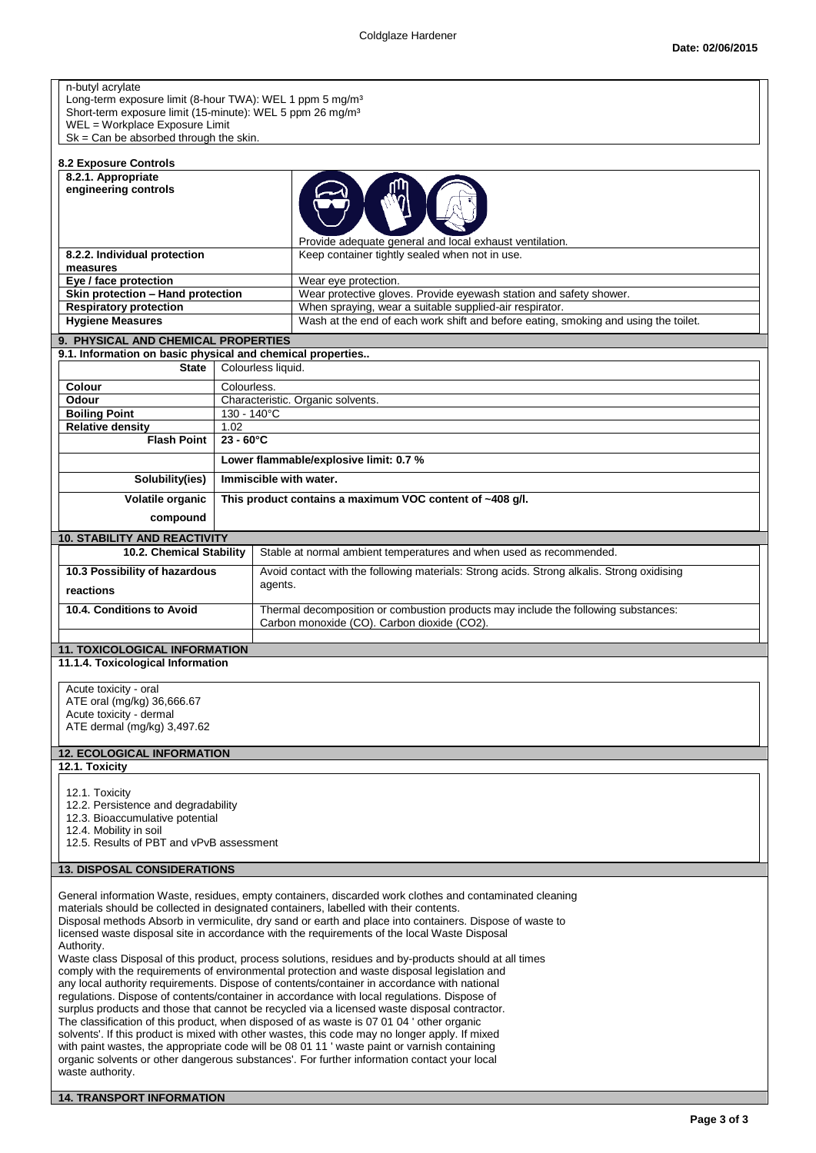| Long-term exposure limit (8-hour TWA): WEL 1 ppm 5 mg/m <sup>3</sup><br>Short-term exposure limit (15-minute): WEL 5 ppm 26 mg/m <sup>3</sup> |                        |                                                                                                                                                                                                                                                                                              |  |
|-----------------------------------------------------------------------------------------------------------------------------------------------|------------------------|----------------------------------------------------------------------------------------------------------------------------------------------------------------------------------------------------------------------------------------------------------------------------------------------|--|
|                                                                                                                                               |                        |                                                                                                                                                                                                                                                                                              |  |
| WEL = Workplace Exposure Limit                                                                                                                |                        |                                                                                                                                                                                                                                                                                              |  |
| $Sk = Can be absorbed through the skin.$                                                                                                      |                        |                                                                                                                                                                                                                                                                                              |  |
| 8.2 Exposure Controls                                                                                                                         |                        |                                                                                                                                                                                                                                                                                              |  |
| 8.2.1. Appropriate<br>engineering controls                                                                                                    |                        |                                                                                                                                                                                                                                                                                              |  |
|                                                                                                                                               |                        |                                                                                                                                                                                                                                                                                              |  |
|                                                                                                                                               |                        |                                                                                                                                                                                                                                                                                              |  |
|                                                                                                                                               |                        | Provide adequate general and local exhaust ventilation.                                                                                                                                                                                                                                      |  |
| 8.2.2. Individual protection                                                                                                                  |                        | Keep container tightly sealed when not in use.                                                                                                                                                                                                                                               |  |
| measures<br>Eye / face protection                                                                                                             |                        | Wear eye protection.                                                                                                                                                                                                                                                                         |  |
| Skin protection - Hand protection                                                                                                             |                        | Wear protective gloves. Provide eyewash station and safety shower.                                                                                                                                                                                                                           |  |
| <b>Respiratory protection</b>                                                                                                                 |                        | When spraying, wear a suitable supplied-air respirator.                                                                                                                                                                                                                                      |  |
| <b>Hygiene Measures</b>                                                                                                                       |                        | Wash at the end of each work shift and before eating, smoking and using the toilet.                                                                                                                                                                                                          |  |
| 9. PHYSICAL AND CHEMICAL PROPERTIES<br>9.1. Information on basic physical and chemical properties                                             |                        |                                                                                                                                                                                                                                                                                              |  |
| <b>State</b>                                                                                                                                  | Colourless liquid.     |                                                                                                                                                                                                                                                                                              |  |
| Colour                                                                                                                                        | Colourless.            |                                                                                                                                                                                                                                                                                              |  |
| Odour                                                                                                                                         |                        | Characteristic. Organic solvents.                                                                                                                                                                                                                                                            |  |
| <b>Boiling Point</b><br><b>Relative density</b>                                                                                               | 130 - 140°C<br>1.02    |                                                                                                                                                                                                                                                                                              |  |
| <b>Flash Point</b>                                                                                                                            | $23 - 60^{\circ}$ C    |                                                                                                                                                                                                                                                                                              |  |
|                                                                                                                                               |                        | Lower flammable/explosive limit: 0.7 %                                                                                                                                                                                                                                                       |  |
| Solubility(ies)                                                                                                                               | Immiscible with water. |                                                                                                                                                                                                                                                                                              |  |
| Volatile organic                                                                                                                              |                        | This product contains a maximum VOC content of ~408 g/l.                                                                                                                                                                                                                                     |  |
| compound                                                                                                                                      |                        |                                                                                                                                                                                                                                                                                              |  |
|                                                                                                                                               |                        |                                                                                                                                                                                                                                                                                              |  |
| <b>10. STABILITY AND REACTIVITY</b><br>10.2. Chemical Stability                                                                               |                        | Stable at normal ambient temperatures and when used as recommended.                                                                                                                                                                                                                          |  |
| 10.3 Possibility of hazardous                                                                                                                 |                        | Avoid contact with the following materials: Strong acids. Strong alkalis. Strong oxidising                                                                                                                                                                                                   |  |
| reactions                                                                                                                                     | agents.                |                                                                                                                                                                                                                                                                                              |  |
| 10.4. Conditions to Avoid                                                                                                                     |                        | Thermal decomposition or combustion products may include the following substances:                                                                                                                                                                                                           |  |
|                                                                                                                                               |                        | Carbon monoxide (CO). Carbon dioxide (CO2).                                                                                                                                                                                                                                                  |  |
| <b>11. TOXICOLOGICAL INFORMATION</b>                                                                                                          |                        |                                                                                                                                                                                                                                                                                              |  |
|                                                                                                                                               |                        |                                                                                                                                                                                                                                                                                              |  |
|                                                                                                                                               |                        |                                                                                                                                                                                                                                                                                              |  |
| 11.1.4. Toxicological Information                                                                                                             |                        |                                                                                                                                                                                                                                                                                              |  |
| Acute toxicity - oral                                                                                                                         |                        |                                                                                                                                                                                                                                                                                              |  |
| ATE oral (mg/kg) 36,666.67<br>Acute toxicity - dermal                                                                                         |                        |                                                                                                                                                                                                                                                                                              |  |
| ATE dermal (mg/kg) 3,497.62                                                                                                                   |                        |                                                                                                                                                                                                                                                                                              |  |
| <b>12. ECOLOGICAL INFORMATION</b>                                                                                                             |                        |                                                                                                                                                                                                                                                                                              |  |
| 12.1. Toxicity                                                                                                                                |                        |                                                                                                                                                                                                                                                                                              |  |
| 12.1. Toxicity                                                                                                                                |                        |                                                                                                                                                                                                                                                                                              |  |
| 12.2. Persistence and degradability                                                                                                           |                        |                                                                                                                                                                                                                                                                                              |  |
| 12.3. Bioaccumulative potential                                                                                                               |                        |                                                                                                                                                                                                                                                                                              |  |
| 12.4. Mobility in soil<br>12.5. Results of PBT and vPvB assessment                                                                            |                        |                                                                                                                                                                                                                                                                                              |  |
|                                                                                                                                               |                        |                                                                                                                                                                                                                                                                                              |  |
| <b>13. DISPOSAL CONSIDERATIONS</b>                                                                                                            |                        |                                                                                                                                                                                                                                                                                              |  |
|                                                                                                                                               |                        | General information Waste, residues, empty containers, discarded work clothes and contaminated cleaning                                                                                                                                                                                      |  |
|                                                                                                                                               |                        | materials should be collected in designated containers, labelled with their contents.<br>Disposal methods Absorb in vermiculite, dry sand or earth and place into containers. Dispose of waste to                                                                                            |  |
|                                                                                                                                               |                        | licensed waste disposal site in accordance with the requirements of the local Waste Disposal                                                                                                                                                                                                 |  |
| Authority.                                                                                                                                    |                        | Waste class Disposal of this product, process solutions, residues and by-products should at all times                                                                                                                                                                                        |  |
|                                                                                                                                               |                        | comply with the requirements of environmental protection and waste disposal legislation and                                                                                                                                                                                                  |  |
|                                                                                                                                               |                        | any local authority requirements. Dispose of contents/container in accordance with national                                                                                                                                                                                                  |  |
|                                                                                                                                               |                        | regulations. Dispose of contents/container in accordance with local regulations. Dispose of<br>surplus products and those that cannot be recycled via a licensed waste disposal contractor.                                                                                                  |  |
|                                                                                                                                               |                        | The classification of this product, when disposed of as waste is 07 01 04 'other organic                                                                                                                                                                                                     |  |
|                                                                                                                                               |                        | solvents'. If this product is mixed with other wastes, this code may no longer apply. If mixed<br>with paint wastes, the appropriate code will be 08 01 11 'waste paint or varnish containing<br>organic solvents or other dangerous substances'. For further information contact your local |  |

## **14. TRANSPORT INFORMATION**